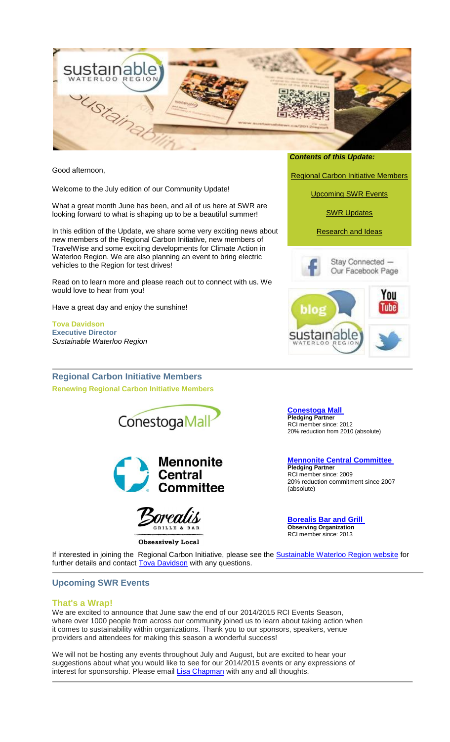

Good afternoon,

Welcome to the July edition of our Community Update!

What a great month June has been, and all of us here at SWR are looking forward to what is shaping up to be a beautiful summer!

In this edition of the Update, we share some very exciting news about new members of the Regional Carbon Initiative, new members of TravelWise and some exciting developments for Climate Action in Waterloo Region. We are also planning an event to bring electric vehicles to the Region for test drives!

Read on to learn more and please reach out to connect with us. We would love to hear from you!

Have a great day and enjoy the sunshine!

**Tova Davidson Executive Director** *Sustainable Waterloo Region*

**Regional Carbon Initiative Members Renewing Regional Carbon Initiative Members**





<span id="page-0-1"></span>**Obsessively Local** 

*Contents of this Update:*

[Regional Carbon Initiative Members](#page-0-0)

[Upcoming SWR Events](#page-0-1)

[SWR Updates](#page-1-0)

[Research and Ideas](#page-1-1)





<span id="page-0-0"></span>**[Conestoga Mall](http://cts.vresp.com/c/?SustainableWaterlooR/40a0627e0e/42d7d93ab0/ec849ceb2f) Pledging Partner**  RCI member since: 2012 20% reduction from 2010 (absolute)

**[Mennonite Central Committee](http://cts.vresp.com/c/?SustainableWaterlooR/40a0627e0e/42d7d93ab0/97eee54846) Pledging Partner** RCI member since: 2009 20% reduction commitment since 2007 (absolute)

**[Borealis Bar and Grill](http://cts.vresp.com/c/?SustainableWaterlooR/40a0627e0e/42d7d93ab0/97ac6b0090) Observing Organization** RCI member since: 2013

If interested in joining the Regional Carbon Initiative, please see the Sustainable [Waterloo Region website](http://cts.vresp.com/c/?SustainableWaterlooR/40a0627e0e/42d7d93ab0/d0810b77bf) for further details and contact **Tova Davidson** with any questions.

# **Upcoming SWR Events**

# **That's a Wrap!**

We are excited to announce that June saw the end of our 2014/2015 RCI Events Season, where over 1000 people from across our community joined us to learn about taking action when it comes to sustainability within organizations. Thank you to our sponsors, speakers, venue providers and attendees for making this season a wonderful success!

We will not be hosting any events throughout July and August, but are excited to hear your suggestions about what you would like to see for our 2014/2015 events or any expressions of interest for sponsorship. Please email [Lisa Chapman](mailto:lisa.chapman@sustainablewr.ca) with any and all thoughts.